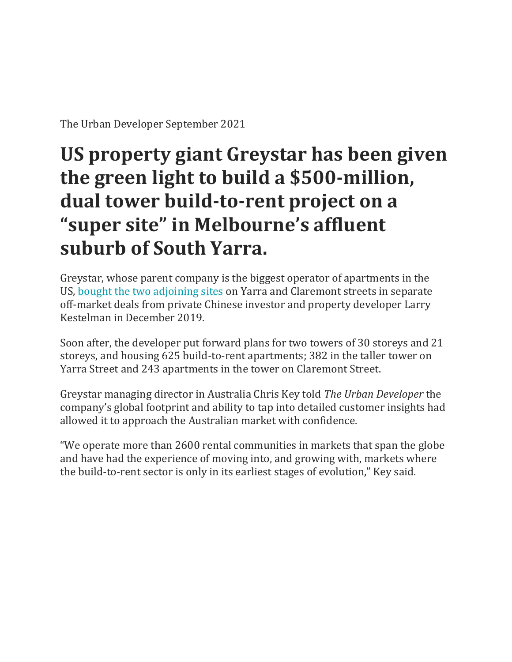The Urban Developer September 2021

## **US property giant Greystar has been given the green light to build a \$500-million, dual tower build-to-rent project on a "super site" in Melbourne's affluent suburb of South Yarra.**

Greystar, whose parent company is the biggest operator of apartments in the US, [bought the two adjoining sites](https://www.theurbandeveloper.com/articles/greystar-build-to-rent-fund-australia) on Yarra and Claremont streets in separate off-market deals from private Chinese investor and property developer Larry Kestelman in December 2019.

Soon after, the developer put forward plans for two towers of 30 storeys and 21 storeys, and housing 625 build-to-rent apartments; 382 in the taller tower on Yarra Street and 243 apartments in the tower on Claremont Street.

Greystar managing director in Australia Chris Key told *The Urban Developer* the company's global footprint and ability to tap into detailed customer insights had allowed it to approach the Australian market with confidence.

"We operate more than 2600 rental communities in markets that span the globe and have had the experience of moving into, and growing with, markets where the build-to-rent sector is only in its earliest stages of evolution," Key said.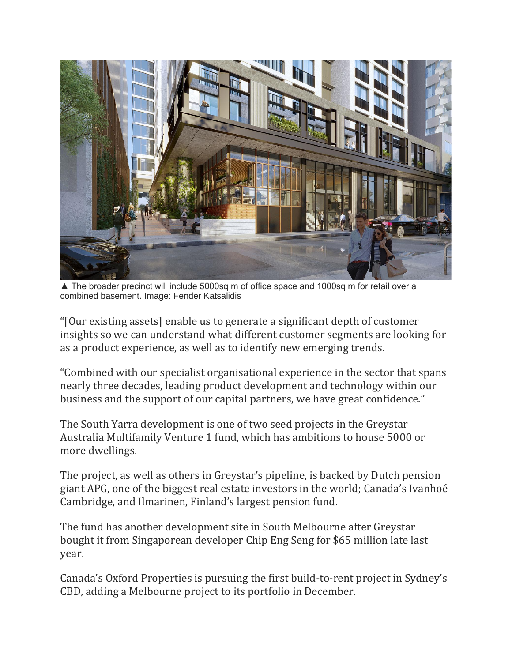

▲ The broader precinct will include 5000sq m of office space and 1000sq m for retail over a combined basement. Image: Fender Katsalidis

"[Our existing assets] enable us to generate a significant depth of customer insights so we can understand what different customer segments are looking for as a product experience, as well as to identify new emerging trends.

"Combined with our specialist organisational experience in the sector that spans nearly three decades, leading product development and technology within our business and the support of our capital partners, we have great confidence."

The South Yarra development is one of two seed projects in the Greystar Australia Multifamily Venture 1 fund, which has ambitions to house 5000 or more dwellings.

The project, as well as others in Greystar's pipeline, is backed by Dutch pension giant APG, one of the biggest real estate investors in the world; Canada's Ivanhoé Cambridge, and Ilmarinen, Finland's largest pension fund.

The fund has another development site in South Melbourne after Greystar bought it from Singaporean developer Chip Eng Seng for \$65 million late last year.

Canada's Oxford Properties is pursuing the first build-to-rent project in Sydney's CBD, adding a Melbourne project to its portfolio in December.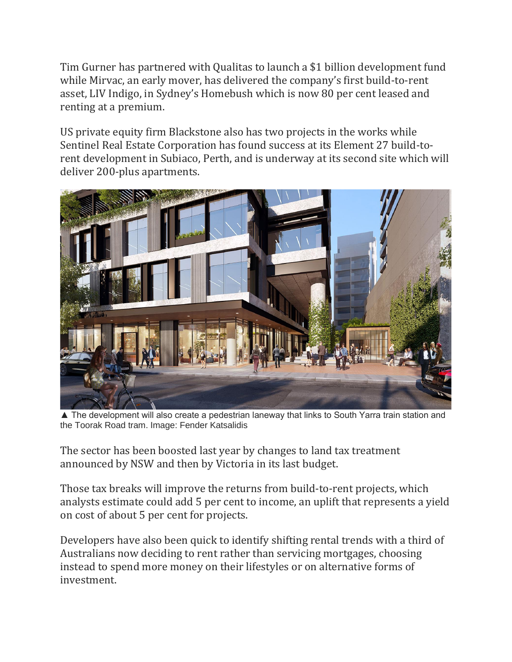Tim Gurner has partnered with Qualitas to launch a \$1 billion development fund while Mirvac, an early mover, has delivered the company's first build-to-rent asset, LIV Indigo, in Sydney's Homebush which is now 80 per cent leased and renting at a premium.

US private equity firm Blackstone also has two projects in the works while Sentinel Real Estate Corporation has found success at its Element 27 build-torent development in Subiaco, Perth, and is underway at its second site which will deliver 200-plus apartments.



▲ The development will also create a pedestrian laneway that links to South Yarra train station and the Toorak Road tram. Image: Fender Katsalidis

The sector has been boosted last year by changes to land tax treatment announced by NSW and then by Victoria in its last budget.

Those tax breaks will improve the returns from build-to-rent projects, which analysts estimate could add 5 per cent to income, an uplift that represents a yield on cost of about 5 per cent for projects.

Developers have also been quick to identify shifting rental trends with a third of Australians now deciding to rent rather than servicing mortgages, choosing instead to spend more money on their lifestyles or on alternative forms of investment.